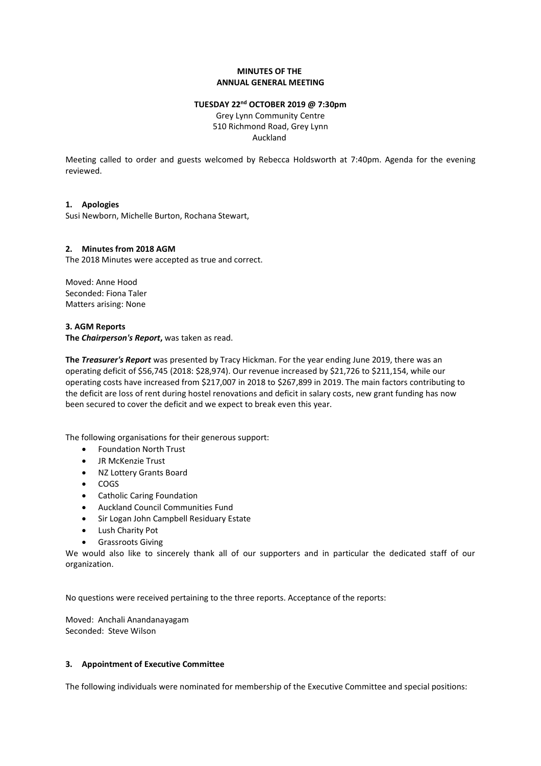# **MINUTES OF THE ANNUAL GENERAL MEETING**

#### **TUESDAY 22nd OCTOBER 2019 @ 7:30pm**

Grey Lynn Community Centre 510 Richmond Road, Grey Lynn Auckland

Meeting called to order and guests welcomed by Rebecca Holdsworth at 7:40pm. Agenda for the evening reviewed.

# **1. Apologies**

Susi Newborn, Michelle Burton, Rochana Stewart,

#### **2. Minutes from 2018 AGM**

The 2018 Minutes were accepted as true and correct.

Moved: Anne Hood Seconded: Fiona Taler Matters arising: None

#### **3. AGM Reports**

**The** *Chairperson's Report***,** was taken as read.

**The** *Treasurer's Report* was presented by Tracy Hickman. For the year ending June 2019, there was an operating deficit of \$56,745 (2018: \$28,974). Our revenue increased by \$21,726 to \$211,154, while our operating costs have increased from \$217,007 in 2018 to \$267,899 in 2019. The main factors contributing to the deficit are loss of rent during hostel renovations and deficit in salary costs, new grant funding has now been secured to cover the deficit and we expect to break even this year.

The following organisations for their generous support:

- Foundation North Trust
- JR McKenzie Trust
- NZ Lottery Grants Board
- COGS
- Catholic Caring Foundation
- Auckland Council Communities Fund
- Sir Logan John Campbell Residuary Estate
- Lush Charity Pot
- Grassroots Giving

We would also like to sincerely thank all of our supporters and in particular the dedicated staff of our organization.

No questions were received pertaining to the three reports. Acceptance of the reports:

Moved: Anchali Anandanayagam Seconded: Steve Wilson

### **3. Appointment of Executive Committee**

The following individuals were nominated for membership of the Executive Committee and special positions: